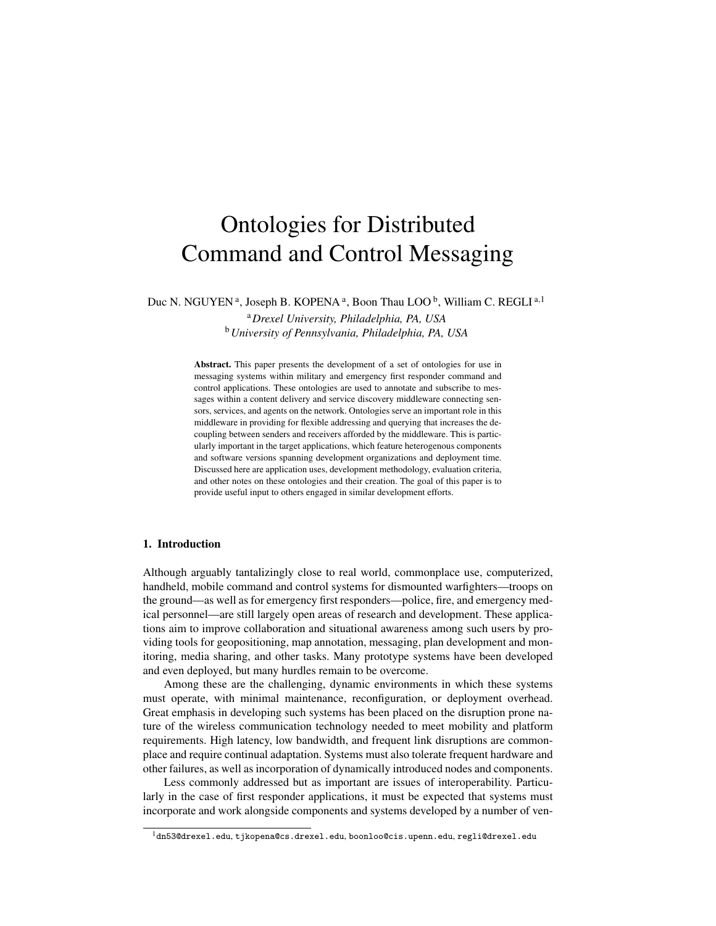# Ontologies for Distributed Command and Control Messaging

Duc N. NGUYEN<sup>a</sup>, Joseph B. KOPENA<sup>a</sup>, Boon Thau LOO<sup>b</sup>, William C. REGLI<sup>a,1</sup>

<sup>a</sup>*Drexel University, Philadelphia, PA, USA* <sup>b</sup>*University of Pennsylvania, Philadelphia, PA, USA*

Abstract. This paper presents the development of a set of ontologies for use in messaging systems within military and emergency first responder command and control applications. These ontologies are used to annotate and subscribe to messages within a content delivery and service discovery middleware connecting sensors, services, and agents on the network. Ontologies serve an important role in this middleware in providing for flexible addressing and querying that increases the decoupling between senders and receivers afforded by the middleware. This is particularly important in the target applications, which feature heterogenous components and software versions spanning development organizations and deployment time. Discussed here are application uses, development methodology, evaluation criteria, and other notes on these ontologies and their creation. The goal of this paper is to provide useful input to others engaged in similar development efforts.

# 1. Introduction

Although arguably tantalizingly close to real world, commonplace use, computerized, handheld, mobile command and control systems for dismounted warfighters—troops on the ground—as well as for emergency first responders—police, fire, and emergency medical personnel—are still largely open areas of research and development. These applications aim to improve collaboration and situational awareness among such users by providing tools for geopositioning, map annotation, messaging, plan development and monitoring, media sharing, and other tasks. Many prototype systems have been developed and even deployed, but many hurdles remain to be overcome.

Among these are the challenging, dynamic environments in which these systems must operate, with minimal maintenance, reconfiguration, or deployment overhead. Great emphasis in developing such systems has been placed on the disruption prone nature of the wireless communication technology needed to meet mobility and platform requirements. High latency, low bandwidth, and frequent link disruptions are commonplace and require continual adaptation. Systems must also tolerate frequent hardware and other failures, as well as incorporation of dynamically introduced nodes and components.

Less commonly addressed but as important are issues of interoperability. Particularly in the case of first responder applications, it must be expected that systems must incorporate and work alongside components and systems developed by a number of ven-

<sup>1</sup>dn53@drexel.edu, tjkopena@cs.drexel.edu, boonloo@cis.upenn.edu, regli@drexel.edu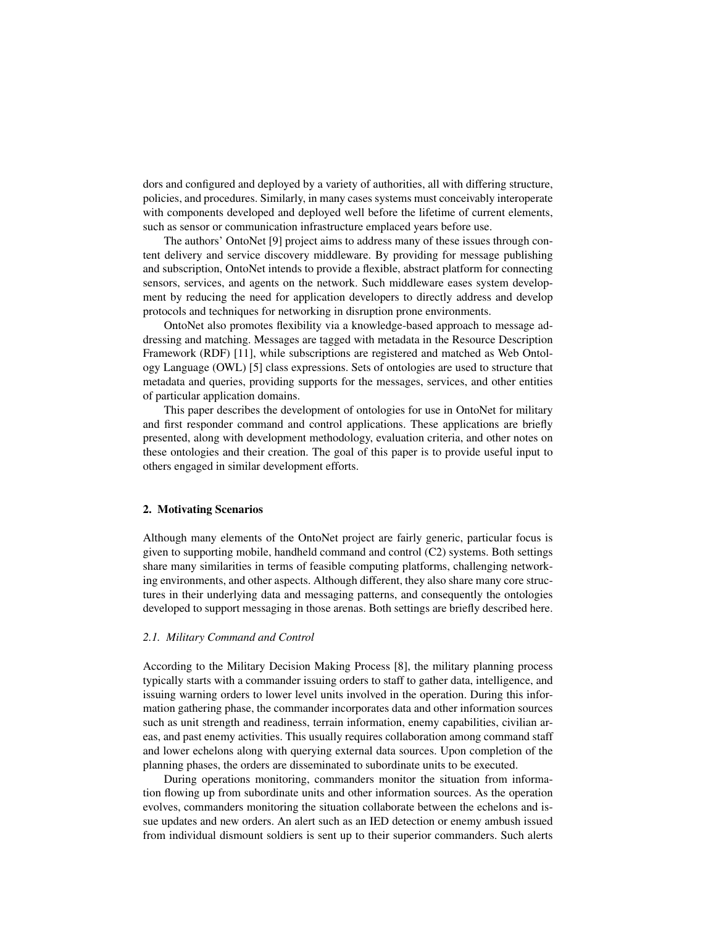dors and configured and deployed by a variety of authorities, all with differing structure, policies, and procedures. Similarly, in many cases systems must conceivably interoperate with components developed and deployed well before the lifetime of current elements, such as sensor or communication infrastructure emplaced years before use.

The authors' OntoNet [9] project aims to address many of these issues through content delivery and service discovery middleware. By providing for message publishing and subscription, OntoNet intends to provide a flexible, abstract platform for connecting sensors, services, and agents on the network. Such middleware eases system development by reducing the need for application developers to directly address and develop protocols and techniques for networking in disruption prone environments.

OntoNet also promotes flexibility via a knowledge-based approach to message addressing and matching. Messages are tagged with metadata in the Resource Description Framework (RDF) [11], while subscriptions are registered and matched as Web Ontology Language (OWL) [5] class expressions. Sets of ontologies are used to structure that metadata and queries, providing supports for the messages, services, and other entities of particular application domains.

This paper describes the development of ontologies for use in OntoNet for military and first responder command and control applications. These applications are briefly presented, along with development methodology, evaluation criteria, and other notes on these ontologies and their creation. The goal of this paper is to provide useful input to others engaged in similar development efforts.

## 2. Motivating Scenarios

Although many elements of the OntoNet project are fairly generic, particular focus is given to supporting mobile, handheld command and control (C2) systems. Both settings share many similarities in terms of feasible computing platforms, challenging networking environments, and other aspects. Although different, they also share many core structures in their underlying data and messaging patterns, and consequently the ontologies developed to support messaging in those arenas. Both settings are briefly described here.

## *2.1. Military Command and Control*

According to the Military Decision Making Process [8], the military planning process typically starts with a commander issuing orders to staff to gather data, intelligence, and issuing warning orders to lower level units involved in the operation. During this information gathering phase, the commander incorporates data and other information sources such as unit strength and readiness, terrain information, enemy capabilities, civilian areas, and past enemy activities. This usually requires collaboration among command staff and lower echelons along with querying external data sources. Upon completion of the planning phases, the orders are disseminated to subordinate units to be executed.

During operations monitoring, commanders monitor the situation from information flowing up from subordinate units and other information sources. As the operation evolves, commanders monitoring the situation collaborate between the echelons and issue updates and new orders. An alert such as an IED detection or enemy ambush issued from individual dismount soldiers is sent up to their superior commanders. Such alerts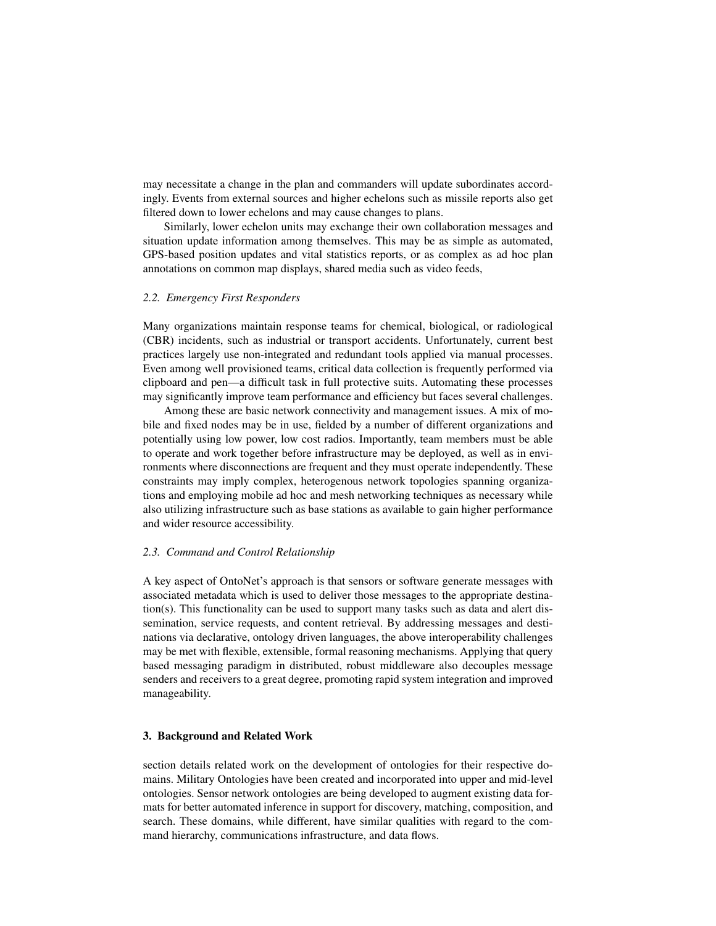may necessitate a change in the plan and commanders will update subordinates accordingly. Events from external sources and higher echelons such as missile reports also get filtered down to lower echelons and may cause changes to plans.

Similarly, lower echelon units may exchange their own collaboration messages and situation update information among themselves. This may be as simple as automated, GPS-based position updates and vital statistics reports, or as complex as ad hoc plan annotations on common map displays, shared media such as video feeds,

#### *2.2. Emergency First Responders*

Many organizations maintain response teams for chemical, biological, or radiological (CBR) incidents, such as industrial or transport accidents. Unfortunately, current best practices largely use non-integrated and redundant tools applied via manual processes. Even among well provisioned teams, critical data collection is frequently performed via clipboard and pen—a difficult task in full protective suits. Automating these processes may significantly improve team performance and efficiency but faces several challenges.

Among these are basic network connectivity and management issues. A mix of mobile and fixed nodes may be in use, fielded by a number of different organizations and potentially using low power, low cost radios. Importantly, team members must be able to operate and work together before infrastructure may be deployed, as well as in environments where disconnections are frequent and they must operate independently. These constraints may imply complex, heterogenous network topologies spanning organizations and employing mobile ad hoc and mesh networking techniques as necessary while also utilizing infrastructure such as base stations as available to gain higher performance and wider resource accessibility.

## *2.3. Command and Control Relationship*

A key aspect of OntoNet's approach is that sensors or software generate messages with associated metadata which is used to deliver those messages to the appropriate destination(s). This functionality can be used to support many tasks such as data and alert dissemination, service requests, and content retrieval. By addressing messages and destinations via declarative, ontology driven languages, the above interoperability challenges may be met with flexible, extensible, formal reasoning mechanisms. Applying that query based messaging paradigm in distributed, robust middleware also decouples message senders and receivers to a great degree, promoting rapid system integration and improved manageability.

#### 3. Background and Related Work

section details related work on the development of ontologies for their respective domains. Military Ontologies have been created and incorporated into upper and mid-level ontologies. Sensor network ontologies are being developed to augment existing data formats for better automated inference in support for discovery, matching, composition, and search. These domains, while different, have similar qualities with regard to the command hierarchy, communications infrastructure, and data flows.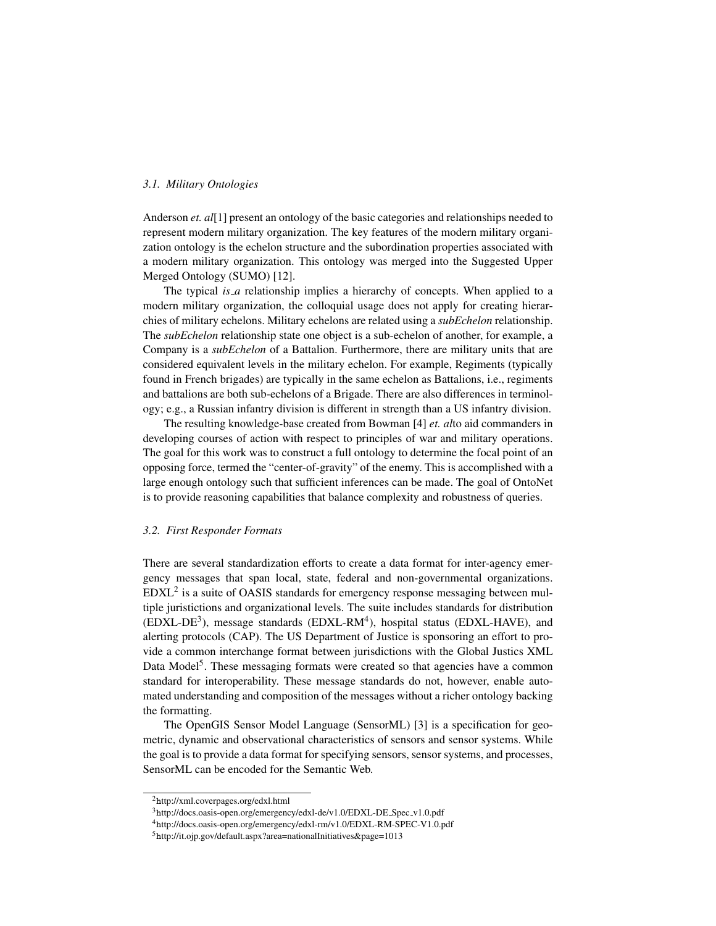# *3.1. Military Ontologies*

Anderson *et. al*[1] present an ontology of the basic categories and relationships needed to represent modern military organization. The key features of the modern military organization ontology is the echelon structure and the subordination properties associated with a modern military organization. This ontology was merged into the Suggested Upper Merged Ontology (SUMO) [12].

The typical *is a* relationship implies a hierarchy of concepts. When applied to a modern military organization, the colloquial usage does not apply for creating hierarchies of military echelons. Military echelons are related using a *subEchelon* relationship. The *subEchelon* relationship state one object is a sub-echelon of another, for example, a Company is a *subEchelon* of a Battalion. Furthermore, there are military units that are considered equivalent levels in the military echelon. For example, Regiments (typically found in French brigades) are typically in the same echelon as Battalions, i.e., regiments and battalions are both sub-echelons of a Brigade. There are also differences in terminology; e.g., a Russian infantry division is different in strength than a US infantry division.

The resulting knowledge-base created from Bowman [4] *et. al*to aid commanders in developing courses of action with respect to principles of war and military operations. The goal for this work was to construct a full ontology to determine the focal point of an opposing force, termed the "center-of-gravity" of the enemy. This is accomplished with a large enough ontology such that sufficient inferences can be made. The goal of OntoNet is to provide reasoning capabilities that balance complexity and robustness of queries.

#### *3.2. First Responder Formats*

There are several standardization efforts to create a data format for inter-agency emergency messages that span local, state, federal and non-governmental organizations.  $EDXL<sup>2</sup>$  is a suite of OASIS standards for emergency response messaging between multiple juristictions and organizational levels. The suite includes standards for distribution (EDXL-DE<sup>3</sup>), message standards (EDXL-RM<sup>4</sup>), hospital status (EDXL-HAVE), and alerting protocols (CAP). The US Department of Justice is sponsoring an effort to provide a common interchange format between jurisdictions with the Global Justics XML Data Model<sup>5</sup>. These messaging formats were created so that agencies have a common standard for interoperability. These message standards do not, however, enable automated understanding and composition of the messages without a richer ontology backing the formatting.

The OpenGIS Sensor Model Language (SensorML) [3] is a specification for geometric, dynamic and observational characteristics of sensors and sensor systems. While the goal is to provide a data format for specifying sensors, sensor systems, and processes, SensorML can be encoded for the Semantic Web.

<sup>2</sup>http://xml.coverpages.org/edxl.html

<sup>3</sup>http://docs.oasis-open.org/emergency/edxl-de/v1.0/EDXL-DE Spec v1.0.pdf

<sup>4</sup>http://docs.oasis-open.org/emergency/edxl-rm/v1.0/EDXL-RM-SPEC-V1.0.pdf

<sup>5</sup>http://it.ojp.gov/default.aspx?area=nationalInitiatives&page=1013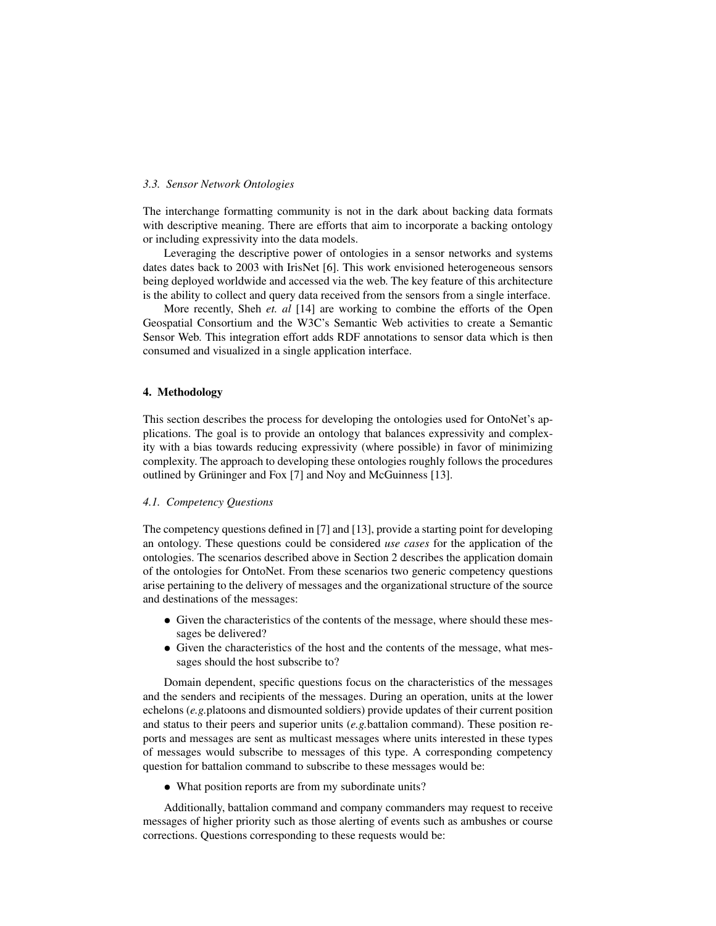#### *3.3. Sensor Network Ontologies*

The interchange formatting community is not in the dark about backing data formats with descriptive meaning. There are efforts that aim to incorporate a backing ontology or including expressivity into the data models.

Leveraging the descriptive power of ontologies in a sensor networks and systems dates dates back to 2003 with IrisNet [6]. This work envisioned heterogeneous sensors being deployed worldwide and accessed via the web. The key feature of this architecture is the ability to collect and query data received from the sensors from a single interface.

More recently, Sheh *et. al* [14] are working to combine the efforts of the Open Geospatial Consortium and the W3C's Semantic Web activities to create a Semantic Sensor Web. This integration effort adds RDF annotations to sensor data which is then consumed and visualized in a single application interface.

# 4. Methodology

This section describes the process for developing the ontologies used for OntoNet's applications. The goal is to provide an ontology that balances expressivity and complexity with a bias towards reducing expressivity (where possible) in favor of minimizing complexity. The approach to developing these ontologies roughly follows the procedures outlined by Grüninger and Fox [7] and Noy and McGuinness [13].

# *4.1. Competency Questions*

The competency questions defined in [7] and [13], provide a starting point for developing an ontology. These questions could be considered *use cases* for the application of the ontologies. The scenarios described above in Section 2 describes the application domain of the ontologies for OntoNet. From these scenarios two generic competency questions arise pertaining to the delivery of messages and the organizational structure of the source and destinations of the messages:

- Given the characteristics of the contents of the message, where should these messages be delivered?
- Given the characteristics of the host and the contents of the message, what messages should the host subscribe to?

Domain dependent, specific questions focus on the characteristics of the messages and the senders and recipients of the messages. During an operation, units at the lower echelons (*e.g.*platoons and dismounted soldiers) provide updates of their current position and status to their peers and superior units (*e.g.*battalion command). These position reports and messages are sent as multicast messages where units interested in these types of messages would subscribe to messages of this type. A corresponding competency question for battalion command to subscribe to these messages would be:

• What position reports are from my subordinate units?

Additionally, battalion command and company commanders may request to receive messages of higher priority such as those alerting of events such as ambushes or course corrections. Questions corresponding to these requests would be: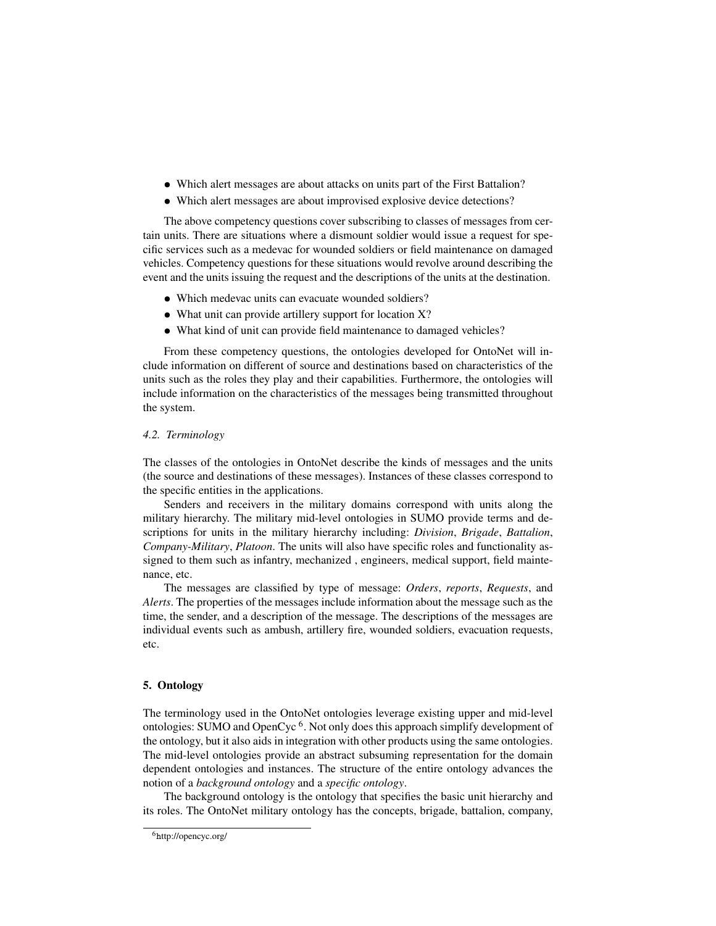- Which alert messages are about attacks on units part of the First Battalion?
- Which alert messages are about improvised explosive device detections?

The above competency questions cover subscribing to classes of messages from certain units. There are situations where a dismount soldier would issue a request for specific services such as a medevac for wounded soldiers or field maintenance on damaged vehicles. Competency questions for these situations would revolve around describing the event and the units issuing the request and the descriptions of the units at the destination.

- Which medevac units can evacuate wounded soldiers?
- What unit can provide artillery support for location X?
- What kind of unit can provide field maintenance to damaged vehicles?

From these competency questions, the ontologies developed for OntoNet will include information on different of source and destinations based on characteristics of the units such as the roles they play and their capabilities. Furthermore, the ontologies will include information on the characteristics of the messages being transmitted throughout the system.

#### *4.2. Terminology*

The classes of the ontologies in OntoNet describe the kinds of messages and the units (the source and destinations of these messages). Instances of these classes correspond to the specific entities in the applications.

Senders and receivers in the military domains correspond with units along the military hierarchy. The military mid-level ontologies in SUMO provide terms and descriptions for units in the military hierarchy including: *Division*, *Brigade*, *Battalion*, *Company-Military*, *Platoon*. The units will also have specific roles and functionality assigned to them such as infantry, mechanized , engineers, medical support, field maintenance, etc.

The messages are classified by type of message: *Orders*, *reports*, *Requests*, and *Alerts*. The properties of the messages include information about the message such as the time, the sender, and a description of the message. The descriptions of the messages are individual events such as ambush, artillery fire, wounded soldiers, evacuation requests, etc.

# 5. Ontology

The terminology used in the OntoNet ontologies leverage existing upper and mid-level ontologies: SUMO and OpenCyc<sup>6</sup>. Not only does this approach simplify development of the ontology, but it also aids in integration with other products using the same ontologies. The mid-level ontologies provide an abstract subsuming representation for the domain dependent ontologies and instances. The structure of the entire ontology advances the notion of a *background ontology* and a *specific ontology*.

The background ontology is the ontology that specifies the basic unit hierarchy and its roles. The OntoNet military ontology has the concepts, brigade, battalion, company,

<sup>6</sup>http://opencyc.org/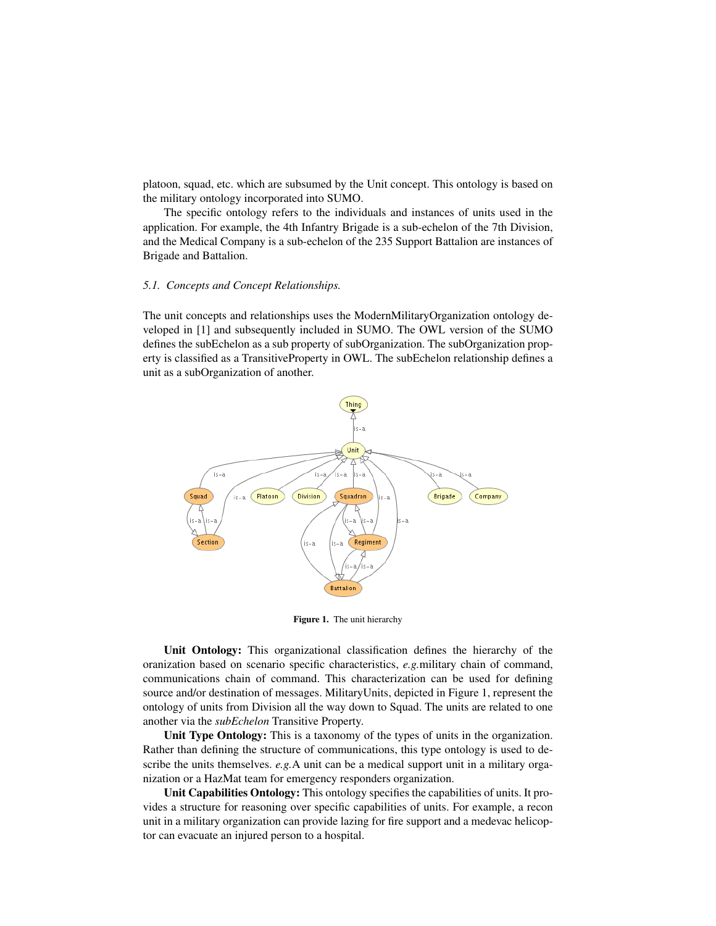platoon, squad, etc. which are subsumed by the Unit concept. This ontology is based on the military ontology incorporated into SUMO.

The specific ontology refers to the individuals and instances of units used in the application. For example, the 4th Infantry Brigade is a sub-echelon of the 7th Division, and the Medical Company is a sub-echelon of the 235 Support Battalion are instances of Brigade and Battalion.

# *5.1. Concepts and Concept Relationships.*

The unit concepts and relationships uses the ModernMilitaryOrganization ontology developed in [1] and subsequently included in SUMO. The OWL version of the SUMO defines the subEchelon as a sub property of subOrganization. The subOrganization property is classified as a TransitiveProperty in OWL. The subEchelon relationship defines a unit as a subOrganization of another.



Figure 1. The unit hierarchy

Unit Ontology: This organizational classification defines the hierarchy of the oranization based on scenario specific characteristics, *e.g.*military chain of command, communications chain of command. This characterization can be used for defining source and/or destination of messages. MilitaryUnits, depicted in Figure 1, represent the ontology of units from Division all the way down to Squad. The units are related to one another via the *subEchelon* Transitive Property.

Unit Type Ontology: This is a taxonomy of the types of units in the organization. Rather than defining the structure of communications, this type ontology is used to describe the units themselves. *e.g.*A unit can be a medical support unit in a military organization or a HazMat team for emergency responders organization.

Unit Capabilities Ontology: This ontology specifies the capabilities of units. It provides a structure for reasoning over specific capabilities of units. For example, a recon unit in a military organization can provide lazing for fire support and a medevac helicoptor can evacuate an injured person to a hospital.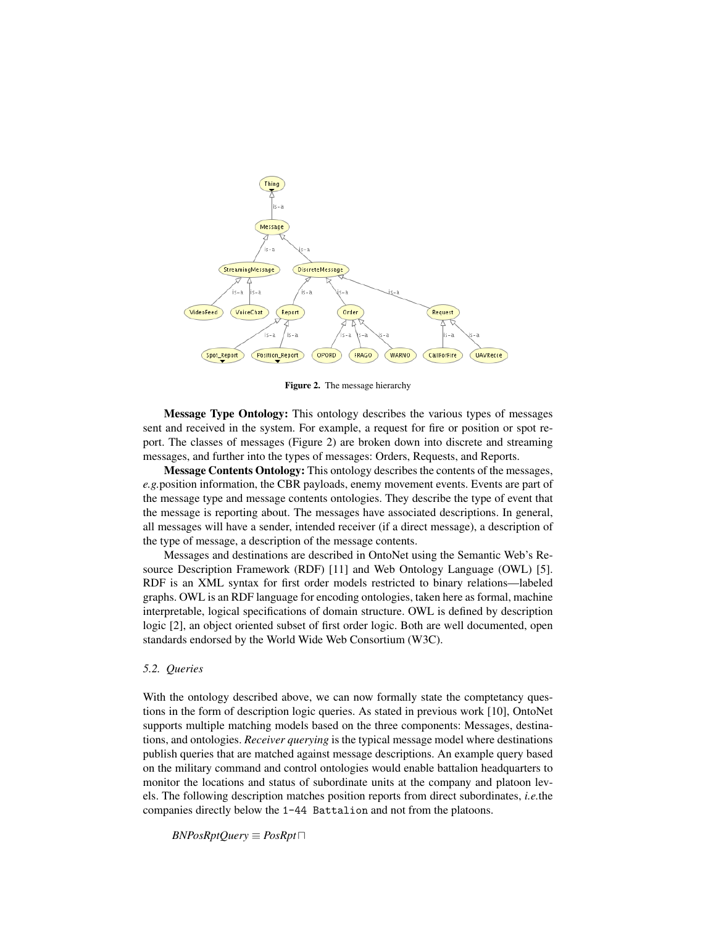

Figure 2. The message hierarchy

Message Type Ontology: This ontology describes the various types of messages sent and received in the system. For example, a request for fire or position or spot report. The classes of messages (Figure 2) are broken down into discrete and streaming messages, and further into the types of messages: Orders, Requests, and Reports.

Message Contents Ontology: This ontology describes the contents of the messages, *e.g.*position information, the CBR payloads, enemy movement events. Events are part of the message type and message contents ontologies. They describe the type of event that the message is reporting about. The messages have associated descriptions. In general, all messages will have a sender, intended receiver (if a direct message), a description of the type of message, a description of the message contents.

Messages and destinations are described in OntoNet using the Semantic Web's Resource Description Framework (RDF) [11] and Web Ontology Language (OWL) [5]. RDF is an XML syntax for first order models restricted to binary relations—labeled graphs. OWL is an RDF language for encoding ontologies, taken here as formal, machine interpretable, logical specifications of domain structure. OWL is defined by description logic [2], an object oriented subset of first order logic. Both are well documented, open standards endorsed by the World Wide Web Consortium (W3C).

#### *5.2. Queries*

With the ontology described above, we can now formally state the comptetancy questions in the form of description logic queries. As stated in previous work [10], OntoNet supports multiple matching models based on the three components: Messages, destinations, and ontologies. *Receiver querying* is the typical message model where destinations publish queries that are matched against message descriptions. An example query based on the military command and control ontologies would enable battalion headquarters to monitor the locations and status of subordinate units at the company and platoon levels. The following description matches position reports from direct subordinates, *i.e.*the companies directly below the 1-44 Battalion and not from the platoons.

 $BNPosRptQuery \equiv PosRpt \sqcap$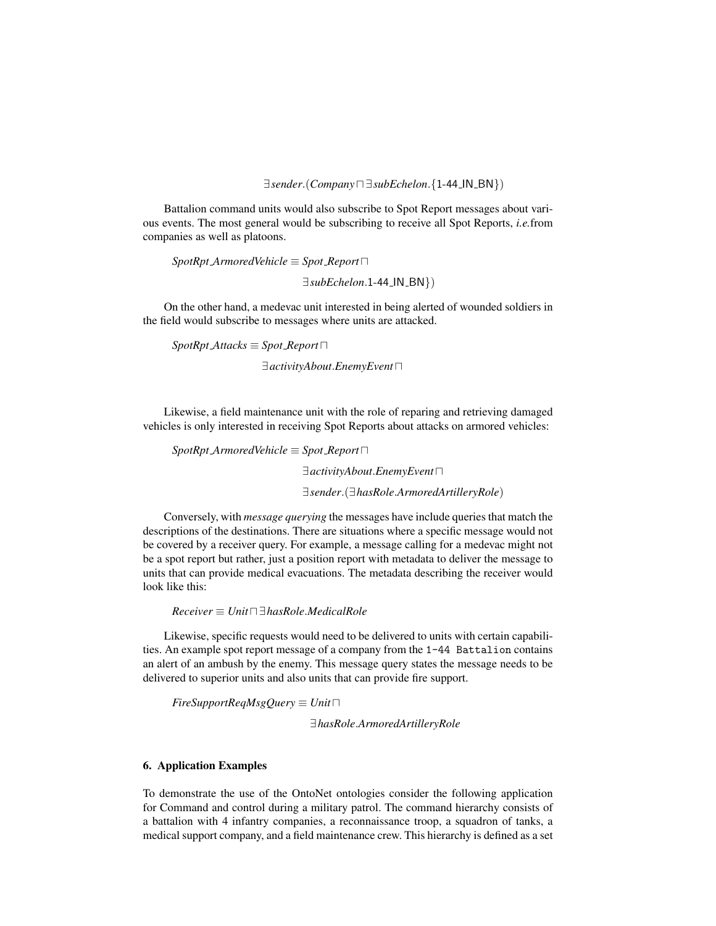∃*sender*.(*Company*u ∃*subEchelon*.{1-44 IN BN})

Battalion command units would also subscribe to Spot Report messages about various events. The most general would be subscribing to receive all Spot Reports, *i.e.*from companies as well as platoons.

 $SpotRpt_ArmoredVehicle \equiv Spot\text{.} Report$ ∃*subEchelon*.1-44 IN BN})

On the other hand, a medevac unit interested in being alerted of wounded soldiers in the field would subscribe to messages where units are attacked.

 $SpotRptAttacks \equiv Sport\vspace{-0.1em}$ *Report* $\Box$  $∃activityAbout.$ *EnemyEvent* 

Likewise, a field maintenance unit with the role of reparing and retrieving damaged vehicles is only interested in receiving Spot Reports about attacks on armored vehicles:

 $SpotRpt_A$ *rmoredVehicle*  $\equiv$  *Spot Report* $\Box$ 

∃*activityAbout*.*EnemyEvent*u

∃*sender*.(∃*hasRole*.*ArmoredArtilleryRole*)

Conversely, with *message querying* the messages have include queries that match the descriptions of the destinations. There are situations where a specific message would not be covered by a receiver query. For example, a message calling for a medevac might not be a spot report but rather, just a position report with metadata to deliver the message to units that can provide medical evacuations. The metadata describing the receiver would look like this:

*Receiver* ≡ *Unit*u ∃*hasRole*.*MedicalRole*

Likewise, specific requests would need to be delivered to units with certain capabilities. An example spot report message of a company from the 1-44 Battalion contains an alert of an ambush by the enemy. This message query states the message needs to be delivered to superior units and also units that can provide fire support.

 $FireSupportRegMsgQuery \equiv Unit \sqcap$ 

∃*hasRole*.*ArmoredArtilleryRole*

# 6. Application Examples

To demonstrate the use of the OntoNet ontologies consider the following application for Command and control during a military patrol. The command hierarchy consists of a battalion with 4 infantry companies, a reconnaissance troop, a squadron of tanks, a medical support company, and a field maintenance crew. This hierarchy is defined as a set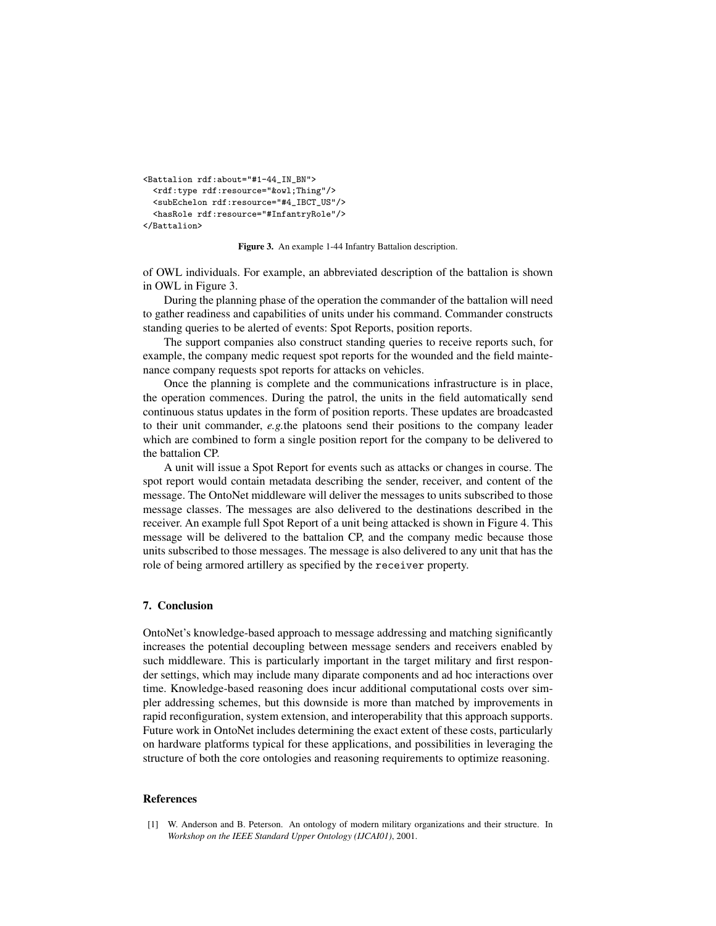```
<Battalion rdf:about="#1-44_IN_BN">
 <rdf:type rdf:resource="&owl;Thing"/>
 <subEchelon rdf:resource="#4_IBCT_US"/>
 <hasRole rdf:resource="#InfantryRole"/>
</Battalion>
```
Figure 3. An example 1-44 Infantry Battalion description.

of OWL individuals. For example, an abbreviated description of the battalion is shown in OWL in Figure 3.

During the planning phase of the operation the commander of the battalion will need to gather readiness and capabilities of units under his command. Commander constructs standing queries to be alerted of events: Spot Reports, position reports.

The support companies also construct standing queries to receive reports such, for example, the company medic request spot reports for the wounded and the field maintenance company requests spot reports for attacks on vehicles.

Once the planning is complete and the communications infrastructure is in place, the operation commences. During the patrol, the units in the field automatically send continuous status updates in the form of position reports. These updates are broadcasted to their unit commander, *e.g.*the platoons send their positions to the company leader which are combined to form a single position report for the company to be delivered to the battalion CP.

A unit will issue a Spot Report for events such as attacks or changes in course. The spot report would contain metadata describing the sender, receiver, and content of the message. The OntoNet middleware will deliver the messages to units subscribed to those message classes. The messages are also delivered to the destinations described in the receiver. An example full Spot Report of a unit being attacked is shown in Figure 4. This message will be delivered to the battalion CP, and the company medic because those units subscribed to those messages. The message is also delivered to any unit that has the role of being armored artillery as specified by the receiver property.

# 7. Conclusion

OntoNet's knowledge-based approach to message addressing and matching significantly increases the potential decoupling between message senders and receivers enabled by such middleware. This is particularly important in the target military and first responder settings, which may include many diparate components and ad hoc interactions over time. Knowledge-based reasoning does incur additional computational costs over simpler addressing schemes, but this downside is more than matched by improvements in rapid reconfiguration, system extension, and interoperability that this approach supports. Future work in OntoNet includes determining the exact extent of these costs, particularly on hardware platforms typical for these applications, and possibilities in leveraging the structure of both the core ontologies and reasoning requirements to optimize reasoning.

#### References

[1] W. Anderson and B. Peterson. An ontology of modern military organizations and their structure. In *Workshop on the IEEE Standard Upper Ontology (IJCAI01)*, 2001.